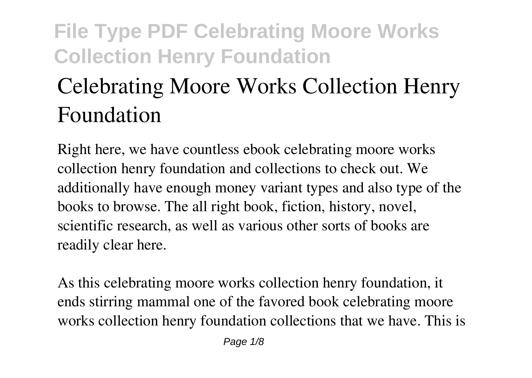# **Celebrating Moore Works Collection Henry Foundation**

Right here, we have countless ebook **celebrating moore works collection henry foundation** and collections to check out. We additionally have enough money variant types and also type of the books to browse. The all right book, fiction, history, novel, scientific research, as well as various other sorts of books are readily clear here.

As this celebrating moore works collection henry foundation, it ends stirring mammal one of the favored book celebrating moore works collection henry foundation collections that we have. This is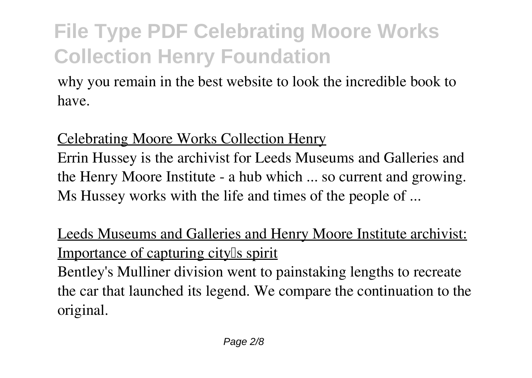why you remain in the best website to look the incredible book to have.

#### Celebrating Moore Works Collection Henry

Errin Hussey is the archivist for Leeds Museums and Galleries and the Henry Moore Institute - a hub which ... so current and growing. Ms Hussey works with the life and times of the people of ...

### Leeds Museums and Galleries and Henry Moore Institute archivist: Importance of capturing city<sup>[]</sup>s spirit

Bentley's Mulliner division went to painstaking lengths to recreate the car that launched its legend. We compare the continuation to the original.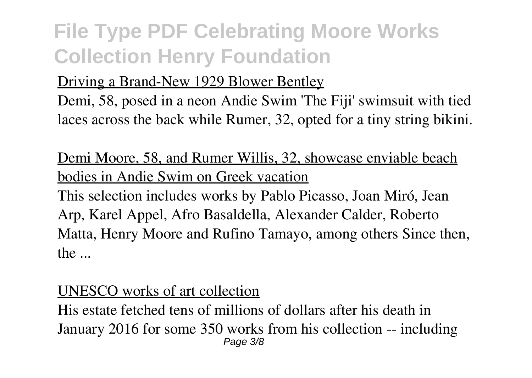#### Driving a Brand-New 1929 Blower Bentley

Demi, 58, posed in a neon Andie Swim 'The Fiji' swimsuit with tied laces across the back while Rumer, 32, opted for a tiny string bikini.

#### Demi Moore, 58, and Rumer Willis, 32, showcase enviable beach bodies in Andie Swim on Greek vacation

This selection includes works by Pablo Picasso, Joan Miró, Jean Arp, Karel Appel, Afro Basaldella, Alexander Calder, Roberto Matta, Henry Moore and Rufino Tamayo, among others Since then, the ...

#### UNESCO works of art collection

His estate fetched tens of millions of dollars after his death in January 2016 for some 350 works from his collection -- including Page 3/8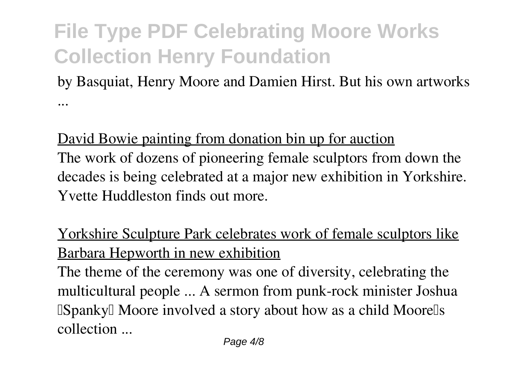by Basquiat, Henry Moore and Damien Hirst. But his own artworks ...

David Bowie painting from donation bin up for auction The work of dozens of pioneering female sculptors from down the decades is being celebrated at a major new exhibition in Yorkshire.

Yvette Huddleston finds out more.

Yorkshire Sculpture Park celebrates work of female sculptors like Barbara Hepworth in new exhibition

The theme of the ceremony was one of diversity, celebrating the multicultural people ... A sermon from punk-rock minister Joshua **ISpanky IMoore involved a story about how as a child Moorells** collection ...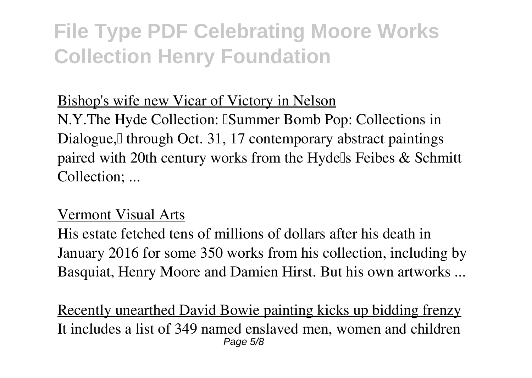#### Bishop's wife new Vicar of Victory in Nelson

N.Y.The Hyde Collection: ISummer Bomb Pop: Collections in Dialogue, I through Oct. 31, 17 contemporary abstract paintings paired with 20th century works from the Hydells Feibes  $&$  Schmitt Collection; ...

#### Vermont Visual Arts

His estate fetched tens of millions of dollars after his death in January 2016 for some 350 works from his collection, including by Basquiat, Henry Moore and Damien Hirst. But his own artworks ...

Recently unearthed David Bowie painting kicks up bidding frenzy It includes a list of 349 named enslaved men, women and children Page 5/8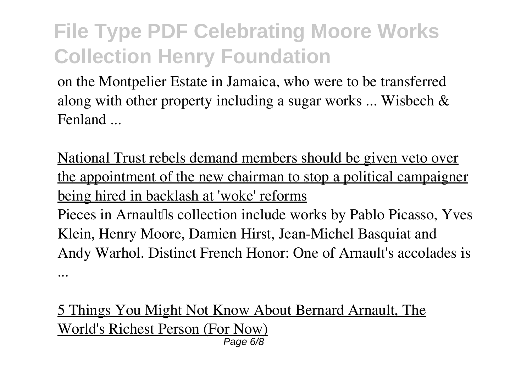on the Montpelier Estate in Jamaica, who were to be transferred along with other property including a sugar works ... Wisbech & Fenland ...

National Trust rebels demand members should be given veto over the appointment of the new chairman to stop a political campaigner being hired in backlash at 'woke' reforms Pieces in Arnault<sup>Is</sup> collection include works by Pablo Picasso, Yves Klein, Henry Moore, Damien Hirst, Jean-Michel Basquiat and Andy Warhol. Distinct French Honor: One of Arnault's accolades is ...

5 Things You Might Not Know About Bernard Arnault, The World's Richest Person (For Now) Page 6/8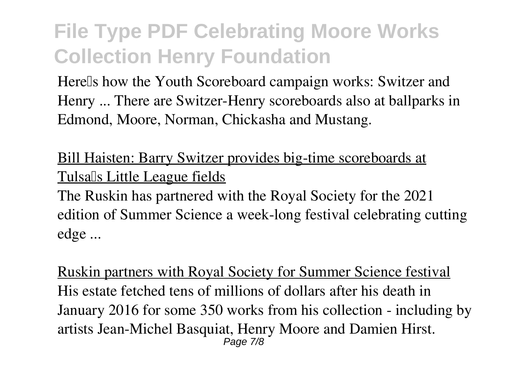Herells how the Youth Scoreboard campaign works: Switzer and Henry ... There are Switzer-Henry scoreboards also at ballparks in Edmond, Moore, Norman, Chickasha and Mustang.

Bill Haisten: Barry Switzer provides big-time scoreboards at Tulsa<sup>[]</sup>s Little League fields

The Ruskin has partnered with the Royal Society for the 2021 edition of Summer Science a week-long festival celebrating cutting edge ...

Ruskin partners with Royal Society for Summer Science festival His estate fetched tens of millions of dollars after his death in January 2016 for some 350 works from his collection - including by artists Jean-Michel Basquiat, Henry Moore and Damien Hirst. Page 7/8